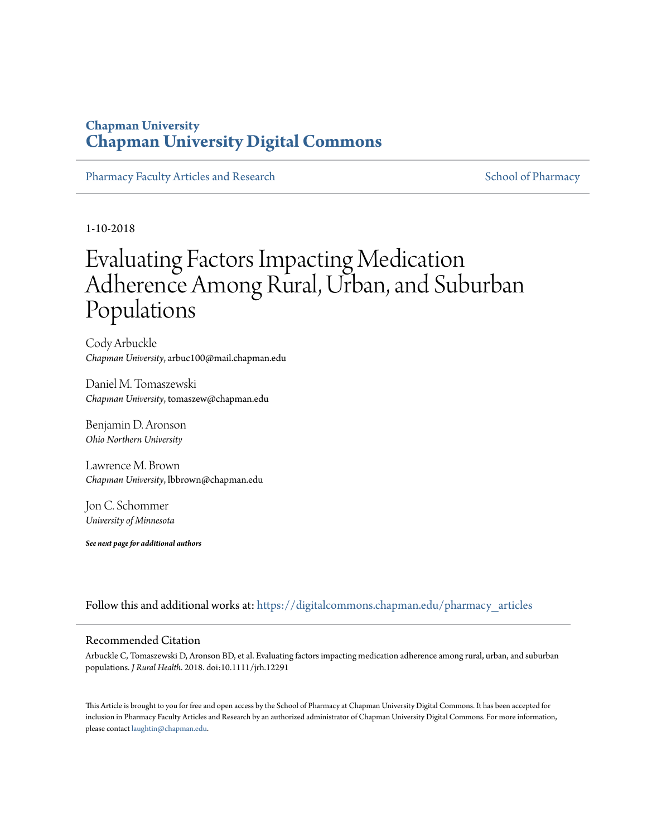## **Chapman University [Chapman University Digital Commons](https://digitalcommons.chapman.edu?utm_source=digitalcommons.chapman.edu%2Fpharmacy_articles%2F519&utm_medium=PDF&utm_campaign=PDFCoverPages)**

[Pharmacy Faculty Articles and Research](https://digitalcommons.chapman.edu/pharmacy_articles?utm_source=digitalcommons.chapman.edu%2Fpharmacy_articles%2F519&utm_medium=PDF&utm_campaign=PDFCoverPages) [School of Pharmacy](https://digitalcommons.chapman.edu/cusp?utm_source=digitalcommons.chapman.edu%2Fpharmacy_articles%2F519&utm_medium=PDF&utm_campaign=PDFCoverPages) School of Pharmacy

1-10-2018

# Evaluating Factors Impacting Medication Adherence Among Rural, Urban, and Suburban Populations

Cody Arbuckle *Chapman University*, arbuc100@mail.chapman.edu

Daniel M. Tomaszewski *Chapman University*, tomaszew@chapman.edu

Benjamin D. Aronson *Ohio Northern University*

Lawrence M. Brown *Chapman University*, lbbrown@chapman.edu

Jon C. Schommer *University of Minnesota*

*See next page for additional authors*

Follow this and additional works at: [https://digitalcommons.chapman.edu/pharmacy\\_articles](https://digitalcommons.chapman.edu/pharmacy_articles?utm_source=digitalcommons.chapman.edu%2Fpharmacy_articles%2F519&utm_medium=PDF&utm_campaign=PDFCoverPages)

### Recommended Citation

Arbuckle C, Tomaszewski D, Aronson BD, et al. Evaluating factors impacting medication adherence among rural, urban, and suburban populations. *J Rural Health*. 2018. doi:10.1111/jrh.12291

This Article is brought to you for free and open access by the School of Pharmacy at Chapman University Digital Commons. It has been accepted for inclusion in Pharmacy Faculty Articles and Research by an authorized administrator of Chapman University Digital Commons. For more information, please contact [laughtin@chapman.edu.](mailto:laughtin@chapman.edu)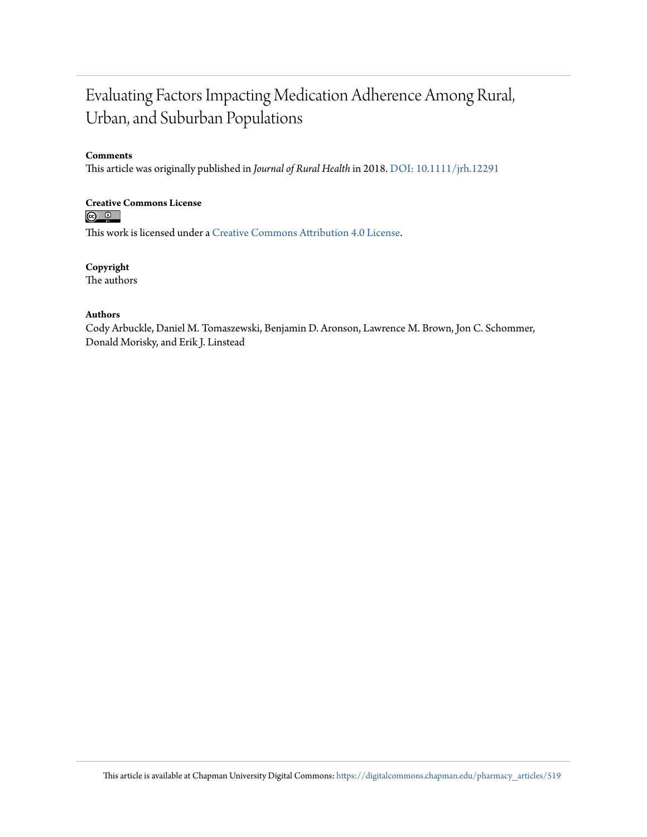## Evaluating Factors Impacting Medication Adherence Among Rural, Urban, and Suburban Populations

## **Comments**

This article was originally published in *Journal of Rural Health* in 2018. [DOI: 10.1111/jrh.12291](https://doi.org/10.1111/jrh.12291)

# **Creative Commons License**<br> **<b>a 0**<br> **a 0**

This work is licensed under a [Creative Commons Attribution 4.0 License.](https://creativecommons.org/licenses/by/4.0/)

**Copyright** The authors

### **Authors**

Cody Arbuckle, Daniel M. Tomaszewski, Benjamin D. Aronson, Lawrence M. Brown, Jon C. Schommer, Donald Morisky, and Erik J. Linstead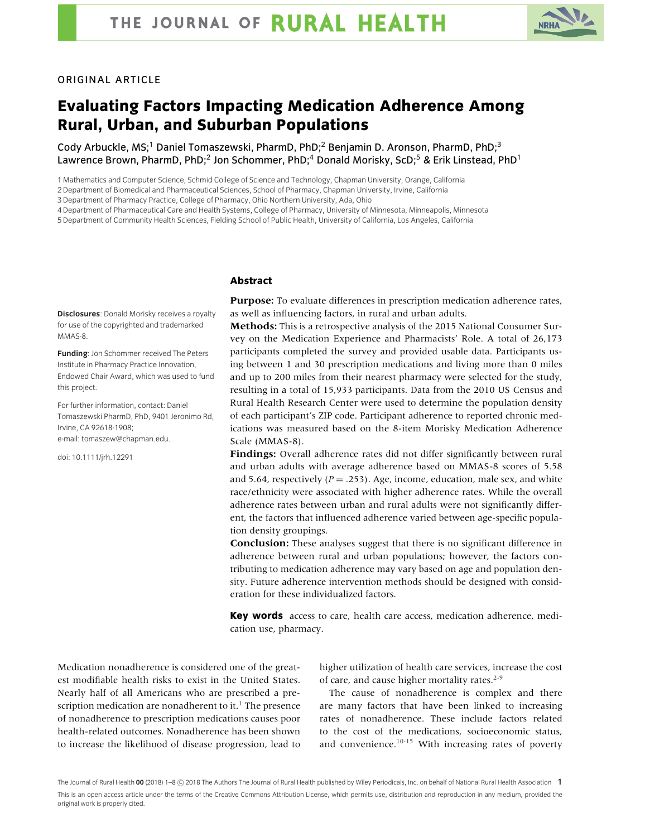

#### ORIGINAL ARTICLE

## **Evaluating Factors Impacting Medication Adherence Among Rural, Urban, and Suburban Populations**

Cody Arbuckle, MS;<sup>1</sup> Daniel Tomaszewski, PharmD, PhD;<sup>2</sup> Benjamin D. Aronson, PharmD, PhD;<sup>3</sup> Lawrence Brown, PharmD, PhD;<sup>2</sup> Jon Schommer, PhD;<sup>4</sup> Donald Morisky, ScD;<sup>5</sup> & Erik Linstead, PhD<sup>1</sup>

1 Mathematics and Computer Science, Schmid College of Science and Technology, Chapman University, Orange, California

2 Department of Biomedical and Pharmaceutical Sciences, School of Pharmacy, Chapman University, Irvine, California

3 Department of Pharmacy Practice, College of Pharmacy, Ohio Northern University, Ada, Ohio

4 Department of Pharmaceutical Care and Health Systems, College of Pharmacy, University of Minnesota, Minneapolis, Minnesota

5 Department of Community Health Sciences, Fielding School of Public Health, University of California, Los Angeles, California

#### **Abstract**

**Disclosures**: Donald Morisky receives a royalty for use of the copyrighted and trademarked MMAS-8.

**Funding**: Jon Schommer received The Peters Institute in Pharmacy Practice Innovation, Endowed Chair Award, which was used to fund this project.

For further information, contact: Daniel Tomaszewski PharmD, PhD, 9401 Jeronimo Rd, Irvine, CA 92618-1908; e-mail: tomaszew@chapman.edu.

doi: 10.1111/jrh.12291

**Purpose:** To evaluate differences in prescription medication adherence rates, as well as influencing factors, in rural and urban adults.

**Methods:** This is a retrospective analysis of the 2015 National Consumer Survey on the Medication Experience and Pharmacists' Role. A total of 26,173 participants completed the survey and provided usable data. Participants using between 1 and 30 prescription medications and living more than 0 miles and up to 200 miles from their nearest pharmacy were selected for the study, resulting in a total of 15,933 participants. Data from the 2010 US Census and Rural Health Research Center were used to determine the population density of each participant's ZIP code. Participant adherence to reported chronic medications was measured based on the 8-item Morisky Medication Adherence Scale (MMAS-8).

**Findings:** Overall adherence rates did not differ significantly between rural and urban adults with average adherence based on MMAS-8 scores of 5.58 and 5.64, respectively  $(P = .253)$ . Age, income, education, male sex, and white race/ethnicity were associated with higher adherence rates. While the overall adherence rates between urban and rural adults were not significantly different, the factors that influenced adherence varied between age-specific population density groupings.

**Conclusion:** These analyses suggest that there is no significant difference in adherence between rural and urban populations; however, the factors contributing to medication adherence may vary based on age and population density. Future adherence intervention methods should be designed with consideration for these individualized factors.

**Key words** access to care, health care access, medication adherence, medication use, pharmacy.

Medication nonadherence is considered one of the greatest modifiable health risks to exist in the United States. Nearly half of all Americans who are prescribed a prescription medication are nonadherent to it.<sup>1</sup> The presence of nonadherence to prescription medications causes poor health-related outcomes. Nonadherence has been shown to increase the likelihood of disease progression, lead to higher utilization of health care services, increase the cost of care, and cause higher mortality rates. $2-9$ 

The cause of nonadherence is complex and there are many factors that have been linked to increasing rates of nonadherence. These include factors related to the cost of the medications, socioeconomic status, and convenience. $10-15$  With increasing rates of poverty

The Journal of Rural Health **00** (2018) 1–8 © 2018 The Authors The Journal of Rural Health published by Wiley Periodicals, Inc. on behalf of National Rural Health Association  $\,$   $\,$   $\,$ This is an open access article under the terms of the Creative Commons Attribution License, which permits use, distribution and reproduction in any medium, provided the original work is properly cited.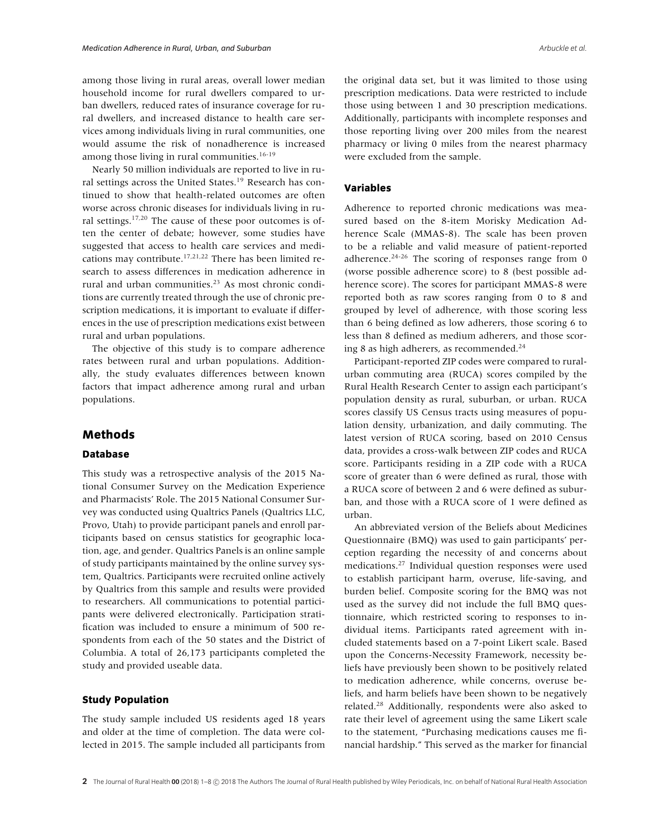among those living in rural areas, overall lower median household income for rural dwellers compared to urban dwellers, reduced rates of insurance coverage for rural dwellers, and increased distance to health care services among individuals living in rural communities, one would assume the risk of nonadherence is increased among those living in rural communities. $16-19$ 

Nearly 50 million individuals are reported to live in rural settings across the United States.<sup>19</sup> Research has continued to show that health-related outcomes are often worse across chronic diseases for individuals living in rural settings.17,20 The cause of these poor outcomes is often the center of debate; however, some studies have suggested that access to health care services and medications may contribute.17,21,22 There has been limited research to assess differences in medication adherence in rural and urban communities.<sup>23</sup> As most chronic conditions are currently treated through the use of chronic prescription medications, it is important to evaluate if differences in the use of prescription medications exist between rural and urban populations.

The objective of this study is to compare adherence rates between rural and urban populations. Additionally, the study evaluates differences between known factors that impact adherence among rural and urban populations.

#### **Methods**

#### **Database**

This study was a retrospective analysis of the 2015 National Consumer Survey on the Medication Experience and Pharmacists' Role. The 2015 National Consumer Survey was conducted using Qualtrics Panels (Qualtrics LLC, Provo, Utah) to provide participant panels and enroll participants based on census statistics for geographic location, age, and gender. Qualtrics Panels is an online sample of study participants maintained by the online survey system, Qualtrics. Participants were recruited online actively by Qualtrics from this sample and results were provided to researchers. All communications to potential participants were delivered electronically. Participation stratification was included to ensure a minimum of 500 respondents from each of the 50 states and the District of Columbia. A total of 26,173 participants completed the study and provided useable data.

#### **Study Population**

The study sample included US residents aged 18 years and older at the time of completion. The data were collected in 2015. The sample included all participants from the original data set, but it was limited to those using prescription medications. Data were restricted to include those using between 1 and 30 prescription medications. Additionally, participants with incomplete responses and those reporting living over 200 miles from the nearest pharmacy or living 0 miles from the nearest pharmacy were excluded from the sample.

#### **Variables**

Adherence to reported chronic medications was measured based on the 8-item Morisky Medication Adherence Scale (MMAS-8). The scale has been proven to be a reliable and valid measure of patient-reported adherence.<sup>24-26</sup> The scoring of responses range from 0 (worse possible adherence score) to 8 (best possible adherence score). The scores for participant MMAS-8 were reported both as raw scores ranging from 0 to 8 and grouped by level of adherence, with those scoring less than 6 being defined as low adherers, those scoring 6 to less than 8 defined as medium adherers, and those scoring 8 as high adherers, as recommended.<sup>24</sup>

Participant-reported ZIP codes were compared to ruralurban commuting area (RUCA) scores compiled by the Rural Health Research Center to assign each participant's population density as rural, suburban, or urban. RUCA scores classify US Census tracts using measures of population density, urbanization, and daily commuting. The latest version of RUCA scoring, based on 2010 Census data, provides a cross-walk between ZIP codes and RUCA score. Participants residing in a ZIP code with a RUCA score of greater than 6 were defined as rural, those with a RUCA score of between 2 and 6 were defined as suburban, and those with a RUCA score of 1 were defined as urban.

An abbreviated version of the Beliefs about Medicines Questionnaire (BMQ) was used to gain participants' perception regarding the necessity of and concerns about medications.27 Individual question responses were used to establish participant harm, overuse, life-saving, and burden belief. Composite scoring for the BMQ was not used as the survey did not include the full BMQ questionnaire, which restricted scoring to responses to individual items. Participants rated agreement with included statements based on a 7-point Likert scale. Based upon the Concerns-Necessity Framework, necessity beliefs have previously been shown to be positively related to medication adherence, while concerns, overuse beliefs, and harm beliefs have been shown to be negatively related.28 Additionally, respondents were also asked to rate their level of agreement using the same Likert scale to the statement, "Purchasing medications causes me financial hardship." This served as the marker for financial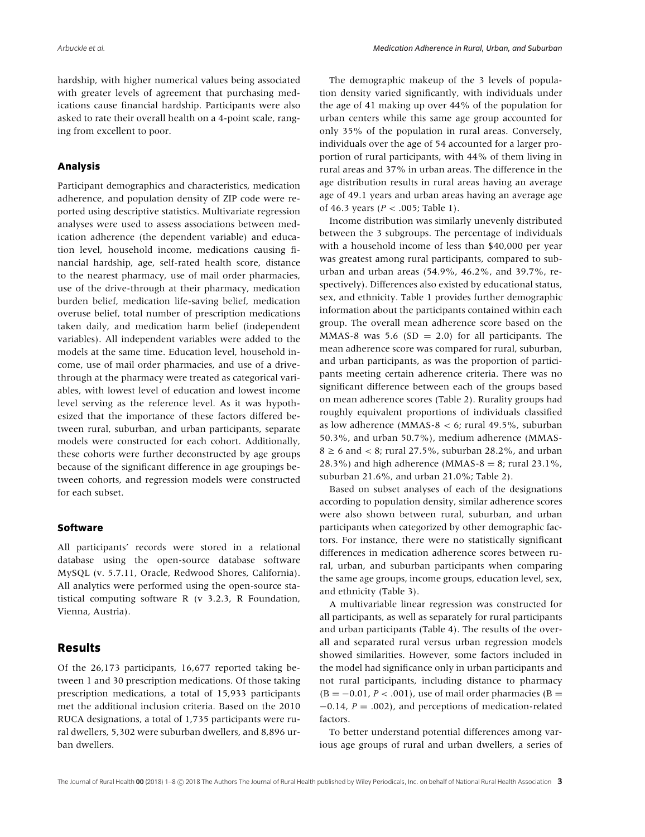hardship, with higher numerical values being associated with greater levels of agreement that purchasing medications cause financial hardship. Participants were also asked to rate their overall health on a 4-point scale, ranging from excellent to poor.

#### **Analysis**

Participant demographics and characteristics, medication adherence, and population density of ZIP code were reported using descriptive statistics. Multivariate regression analyses were used to assess associations between medication adherence (the dependent variable) and education level, household income, medications causing financial hardship, age, self-rated health score, distance to the nearest pharmacy, use of mail order pharmacies, use of the drive-through at their pharmacy, medication burden belief, medication life-saving belief, medication overuse belief, total number of prescription medications taken daily, and medication harm belief (independent variables). All independent variables were added to the models at the same time. Education level, household income, use of mail order pharmacies, and use of a drivethrough at the pharmacy were treated as categorical variables, with lowest level of education and lowest income level serving as the reference level. As it was hypothesized that the importance of these factors differed between rural, suburban, and urban participants, separate models were constructed for each cohort. Additionally, these cohorts were further deconstructed by age groups because of the significant difference in age groupings between cohorts, and regression models were constructed for each subset.

#### **Software**

All participants' records were stored in a relational database using the open-source database software MySQL (v. 5.7.11, Oracle, Redwood Shores, California). All analytics were performed using the open-source statistical computing software R (v 3.2.3, R Foundation, Vienna, Austria).

#### **Results**

Of the 26,173 participants, 16,677 reported taking between 1 and 30 prescription medications. Of those taking prescription medications, a total of 15,933 participants met the additional inclusion criteria. Based on the 2010 RUCA designations, a total of 1,735 participants were rural dwellers, 5,302 were suburban dwellers, and 8,896 urban dwellers.

The demographic makeup of the 3 levels of population density varied significantly, with individuals under the age of 41 making up over 44% of the population for urban centers while this same age group accounted for only 35% of the population in rural areas. Conversely, individuals over the age of 54 accounted for a larger proportion of rural participants, with 44% of them living in rural areas and 37% in urban areas. The difference in the age distribution results in rural areas having an average age of 49.1 years and urban areas having an average age of 46.3 years (*P <* .005; Table 1).

Income distribution was similarly unevenly distributed between the 3 subgroups. The percentage of individuals with a household income of less than \$40,000 per year was greatest among rural participants, compared to suburban and urban areas (54.9%, 46.2%, and 39.7%, respectively). Differences also existed by educational status, sex, and ethnicity. Table 1 provides further demographic information about the participants contained within each group. The overall mean adherence score based on the MMAS-8 was 5.6 (SD = 2.0) for all participants. The mean adherence score was compared for rural, suburban, and urban participants, as was the proportion of participants meeting certain adherence criteria. There was no significant difference between each of the groups based on mean adherence scores (Table 2). Rurality groups had roughly equivalent proportions of individuals classified as low adherence (MMAS-8 *<* 6; rural 49.5%, suburban 50.3%, and urban 50.7%), medium adherence (MMAS- $8 \ge 6$  and  $< 8$ ; rural 27.5%, suburban 28.2%, and urban 28.3%) and high adherence (MMAS-8 = 8; rural 23.1%, suburban 21.6%, and urban 21.0%; Table 2).

Based on subset analyses of each of the designations according to population density, similar adherence scores were also shown between rural, suburban, and urban participants when categorized by other demographic factors. For instance, there were no statistically significant differences in medication adherence scores between rural, urban, and suburban participants when comparing the same age groups, income groups, education level, sex, and ethnicity (Table 3).

A multivariable linear regression was constructed for all participants, as well as separately for rural participants and urban participants (Table 4). The results of the overall and separated rural versus urban regression models showed similarities. However, some factors included in the model had significance only in urban participants and not rural participants, including distance to pharmacy  $(B = -0.01, P < .001)$ , use of mail order pharmacies  $(B = 0.01, P < .001)$ −0.14, *P* = .002), and perceptions of medication-related factors.

To better understand potential differences among various age groups of rural and urban dwellers, a series of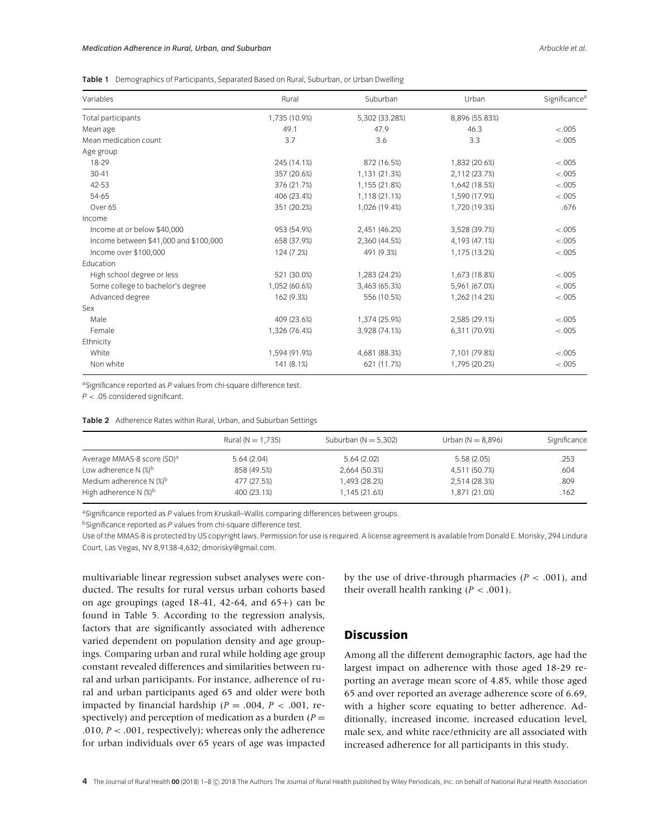|  |  | Table 1 Demographics of Participants, Separated Based on Rural, Suburban, or Urban Dwelling |  |  |
|--|--|---------------------------------------------------------------------------------------------|--|--|
|--|--|---------------------------------------------------------------------------------------------|--|--|

| Variables                             | Rural         | Suburban       | Urban          | Significance <sup>a</sup> |  |
|---------------------------------------|---------------|----------------|----------------|---------------------------|--|
| Total participants                    | 1,735 (10.9%) | 5,302 (33.28%) | 8,896 (55.83%) |                           |  |
| Mean age                              | 49.1          | 47.9           | 46.3           | $-.005$                   |  |
| Mean medication count                 | 3.7           | 3.6            | 3.3            | $-.005$                   |  |
| Age group                             |               |                |                |                           |  |
| 18-29                                 | 245 (14.1%)   | 872 (16.5%)    | 1,832 (20.6%)  | $-.005$                   |  |
| $30 - 41$                             | 357 (20.6%)   | 1,131 (21.3%)  | 2,112 (23.7%)  | < .005                    |  |
| 42-53                                 | 376 (21.7%)   | 1,155 (21.8%)  | 1,642 (18.5%)  | $-.005$                   |  |
| 54-65                                 | 406 (23.4%)   | 1,118 (21.1%)  | 1,590 (17.9%)  | $-.005$                   |  |
| Over 65                               | 351 (20.2%)   | 1,026 (19.4%)  | 1.720 (19.3%)  | .676                      |  |
| Income                                |               |                |                |                           |  |
| Income at or below \$40,000           | 953 (54.9%)   | 2,451 (46.2%)  | 3,528 (39.7%)  | $-.005$                   |  |
| Income between \$41,000 and \$100,000 | 658 (37.9%)   | 2,360 (44.5%)  | 4,193 (47.1%)  | $-.005$                   |  |
| Income over \$100,000                 | 124 (7.2%)    | 491 (9.3%)     | 1,175 (13.2%)  | $-.005$                   |  |
| Education                             |               |                |                |                           |  |
| High school degree or less            | 521 (30.0%)   | 1,283 (24.2%)  | 1,673 (18.8%)  | $-.005$                   |  |
| Some college to bachelor's degree     | 1,052 (60.6%) | 3,463 (65.3%)  | 5,961 (67.0%)  | $-.005$                   |  |
| Advanced degree                       | 162 (9.3%)    | 556 (10.5%)    | 1,262 (14.2%)  | $-.005$                   |  |
| Sex                                   |               |                |                |                           |  |
| Male                                  | 409 (23.6%)   | 1,374 (25.9%)  | 2,585 (29.1%)  | $-.005$                   |  |
| Female                                | 1,326 (76.4%) | 3,928 (74.1%)  | 6,311 (70.9%)  | < .005                    |  |
| Ethnicity                             |               |                |                |                           |  |
| White                                 | 1,594 (91.9%) | 4,681 (88.3%)  | 7,101 (79.8%)  | < .005                    |  |
| Non white                             | 141 (8.1%)    | 621 (11.7%)    | 1,795 (20.2%)  | < .005                    |  |

<sup>a</sup>Significance reported as P values from chi-square difference test.

*P <* .05 considered significant.

**Table 2** Adherence Rates within Rural, Urban, and Suburban Settings

|                                        | Rural ( $N = 1,735$ ) | Suburban ( $N = 5,302$ ) | Urban ( $N = 8,896$ ) | Significance |
|----------------------------------------|-----------------------|--------------------------|-----------------------|--------------|
| Average MMAS-8 score (SD) <sup>a</sup> | 5.64(2.04)            | 5.64(2.02)               | 5.58(2.05)            | .253         |
| Low adherence N $(\%)^b$               | 858 (49.5%)           | 2,664 (50.3%)            | 4,511 (50.7%)         | .604         |
| Medium adherence N $(\%)^b$            | 477 (27.5%)           | 1,493 (28.2%)            | 2,514 (28.3%)         | .809         |
| High adherence N $(\%)^b$              | 400 (23.1%)           | 1.145 (21.6%)            | 1,871 (21.0%)         | .162         |

a Significance reported as P values from Kruskall–Wallis comparing differences between groups.

<sup>b</sup>Significance reported as P values from chi-square difference test.

Use of the MMAS-8 is protected by US copyright laws. Permission for use is required. A license agreement is available from Donald E. Morisky, 294 Lindura Court, Las Vegas, NV 8,9138-4,632; dmorisky@gmail.com.

multivariable linear regression subset analyses were conducted. The results for rural versus urban cohorts based on age groupings (aged 18-41, 42-64, and 65+) can be found in Table 5. According to the regression analysis, factors that are significantly associated with adherence varied dependent on population density and age groupings. Comparing urban and rural while holding age group constant revealed differences and similarities between rural and urban participants. For instance, adherence of rural and urban participants aged 65 and older were both impacted by financial hardship ( $P = .004$ ,  $P < .001$ , respectively) and perception of medication as a burden  $(P =$ .010, *P <* .001, respectively); whereas only the adherence for urban individuals over 65 years of age was impacted

by the use of drive-through pharmacies  $(P < .001)$ , and their overall health ranking  $(P < .001)$ .

### **Discussion**

Among all the different demographic factors, age had the largest impact on adherence with those aged 18-29 reporting an average mean score of 4.85, while those aged 65 and over reported an average adherence score of 6.69, with a higher score equating to better adherence. Additionally, increased income, increased education level, male sex, and white race/ethnicity are all associated with increased adherence for all participants in this study.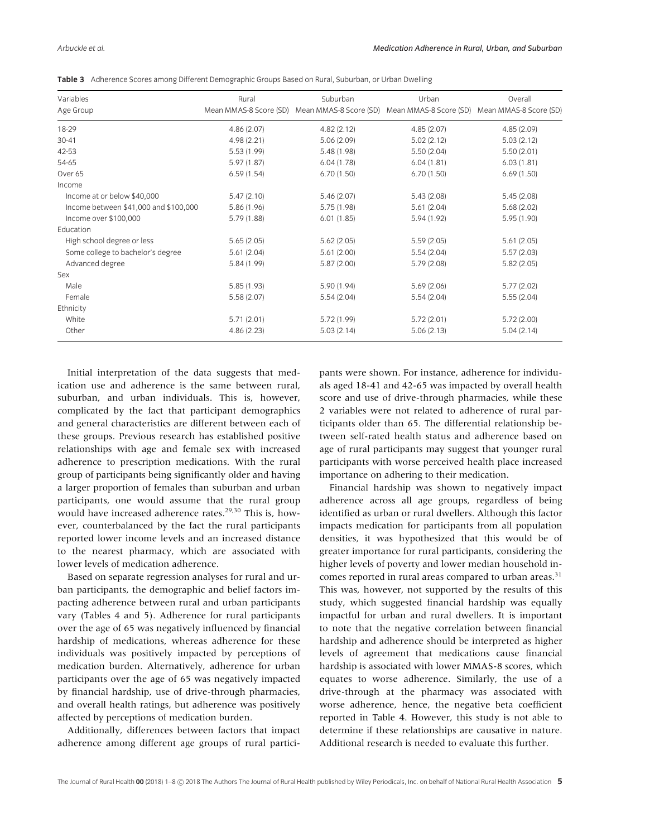|  |  |  |  | Table 3 Adherence Scores among Different Demographic Groups Based on Rural, Suburban, or Urban Dwelling |  |
|--|--|--|--|---------------------------------------------------------------------------------------------------------|--|
|--|--|--|--|---------------------------------------------------------------------------------------------------------|--|

| Variables                             | Rural       | Suburban                                                                                    | Urban       | Overall    |  |
|---------------------------------------|-------------|---------------------------------------------------------------------------------------------|-------------|------------|--|
| Age Group                             |             | Mean MMAS-8 Score (SD) Mean MMAS-8 Score (SD) Mean MMAS-8 Score (SD) Mean MMAS-8 Score (SD) |             |            |  |
| 18-29                                 | 4.86(2.07)  | 4.82(2.12)                                                                                  | 4.85(2.07)  | 4.85(2.09) |  |
| $30 - 41$                             | 4.98(2.21)  | 5.06(2.09)                                                                                  | 5.02(2.12)  | 5.03(2.12) |  |
| 42-53                                 | 5.53(1.99)  | 5.48 (1.98)                                                                                 | 5.50(2.04)  | 5.50(2.01) |  |
| 54-65                                 | 5.97(1.87)  | 6.04(1.78)                                                                                  | 6.04(1.81)  | 6.03(1.81) |  |
| Over 65                               | 6.59(1.54)  | 6.70(1.50)                                                                                  | 6.70(1.50)  | 6.69(1.50) |  |
| Income                                |             |                                                                                             |             |            |  |
| Income at or below \$40,000           | 5.47(2.10)  | 5.46(2.07)                                                                                  | 5.43(2.08)  | 5.45(2.08) |  |
| Income between \$41,000 and \$100,000 | 5.86 (1.96) | 5.75(1.98)                                                                                  | 5.61(2.04)  | 5.68(2.02) |  |
| Income over \$100,000                 | 5.79(1.88)  | 6.01(1.85)                                                                                  | 5.94 (1.92) | 5.95(1.90) |  |
| Education                             |             |                                                                                             |             |            |  |
| High school degree or less            | 5.65(2.05)  | 5.62(2.05)                                                                                  | 5.59(2.05)  | 5.61(2.05) |  |
| Some college to bachelor's degree     | 5.61(2.04)  | 5.61(2.00)                                                                                  | 5.54(2.04)  | 5.57(2.03) |  |
| Advanced degree                       | 5.84 (1.99) | 5.87(2.00)                                                                                  | 5.79(2.08)  | 5.82(2.05) |  |
| Sex                                   |             |                                                                                             |             |            |  |
| Male                                  | 5.85(1.93)  | 5.90(1.94)                                                                                  | 5.69(2.06)  | 5.77(2.02) |  |
| Female                                | 5.58(2.07)  | 5.54(2.04)                                                                                  | 5.54(2.04)  | 5.55(2.04) |  |
| Ethnicity                             |             |                                                                                             |             |            |  |
| White                                 | 5.71(2.01)  | 5.72(1.99)                                                                                  | 5.72(2.01)  | 5.72(2.00) |  |
| Other                                 | 4.86(2.23)  | 5.03(2.14)                                                                                  | 5.06(2.13)  | 5.04(2.14) |  |

Initial interpretation of the data suggests that medication use and adherence is the same between rural, suburban, and urban individuals. This is, however, complicated by the fact that participant demographics and general characteristics are different between each of these groups. Previous research has established positive relationships with age and female sex with increased adherence to prescription medications. With the rural group of participants being significantly older and having a larger proportion of females than suburban and urban participants, one would assume that the rural group would have increased adherence rates.<sup>29,30</sup> This is, however, counterbalanced by the fact the rural participants reported lower income levels and an increased distance to the nearest pharmacy, which are associated with lower levels of medication adherence.

Based on separate regression analyses for rural and urban participants, the demographic and belief factors impacting adherence between rural and urban participants vary (Tables 4 and 5). Adherence for rural participants over the age of 65 was negatively influenced by financial hardship of medications, whereas adherence for these individuals was positively impacted by perceptions of medication burden. Alternatively, adherence for urban participants over the age of 65 was negatively impacted by financial hardship, use of drive-through pharmacies, and overall health ratings, but adherence was positively affected by perceptions of medication burden.

Additionally, differences between factors that impact adherence among different age groups of rural partici-

pants were shown. For instance, adherence for individuals aged 18-41 and 42-65 was impacted by overall health score and use of drive-through pharmacies, while these 2 variables were not related to adherence of rural participants older than 65. The differential relationship between self-rated health status and adherence based on age of rural participants may suggest that younger rural participants with worse perceived health place increased importance on adhering to their medication.

Financial hardship was shown to negatively impact adherence across all age groups, regardless of being identified as urban or rural dwellers. Although this factor impacts medication for participants from all population densities, it was hypothesized that this would be of greater importance for rural participants, considering the higher levels of poverty and lower median household incomes reported in rural areas compared to urban areas.<sup>31</sup> This was, however, not supported by the results of this study, which suggested financial hardship was equally impactful for urban and rural dwellers. It is important to note that the negative correlation between financial hardship and adherence should be interpreted as higher levels of agreement that medications cause financial hardship is associated with lower MMAS-8 scores, which equates to worse adherence. Similarly, the use of a drive-through at the pharmacy was associated with worse adherence, hence, the negative beta coefficient reported in Table 4. However, this study is not able to determine if these relationships are causative in nature. Additional research is needed to evaluate this further.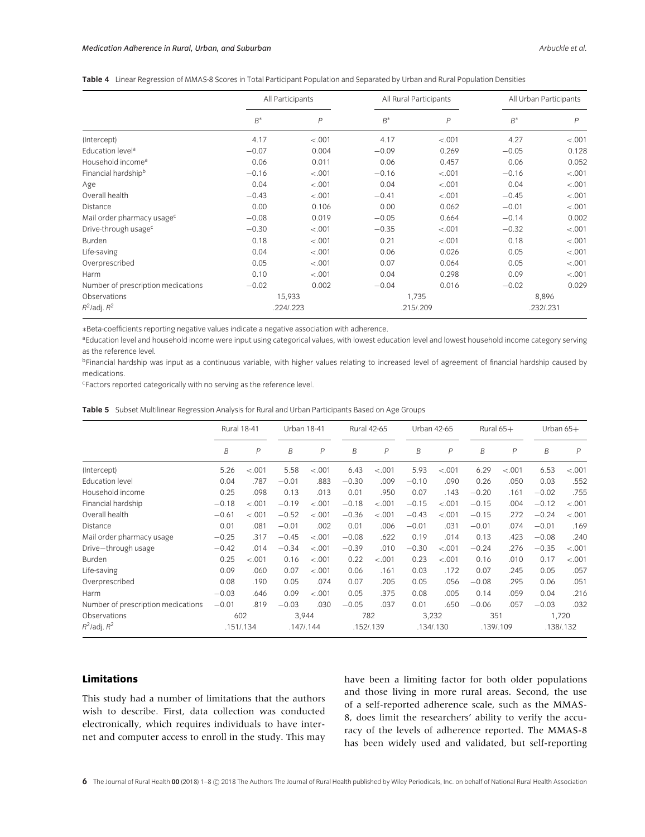|  | Table 4 Linear Regression of MMAS-8 Scores in Total Participant Population and Separated by Urban and Rural Population Densities |  |  |  |
|--|----------------------------------------------------------------------------------------------------------------------------------|--|--|--|
|--|----------------------------------------------------------------------------------------------------------------------------------|--|--|--|

|                                        | All Participants |                |         | All Rural Participants | All Urban Participants |                |  |
|----------------------------------------|------------------|----------------|---------|------------------------|------------------------|----------------|--|
|                                        | $B^*$            | $\overline{P}$ | $B^*$   | P                      | $B^*$                  | $\overline{P}$ |  |
| (Intercept)                            | 4.17             | $-.001$        | 4.17    | $-.001$                | 4.27                   | $-.001$        |  |
| Education level <sup>a</sup>           | $-0.07$          | 0.004          | $-0.09$ | 0.269                  | $-0.05$                | 0.128          |  |
| Household income <sup>a</sup>          | 0.06             | 0.011          | 0.06    | 0.457                  | 0.06                   | 0.052          |  |
| Financial hardship <sup>b</sup>        | $-0.16$          | $-.001$        | $-0.16$ | $-.001$                | $-0.16$                | $-.001$        |  |
| Age                                    | 0.04             | $-.001$        | 0.04    | $-.001$                | 0.04                   | $-.001$        |  |
| Overall health                         | $-0.43$          | $-.001$        | $-0.41$ | $-.001$                | $-0.45$                | $-.001$        |  |
| <b>Distance</b>                        | 0.00             | 0.106          | 0.00    | 0.062                  | $-0.01$                | $-.001$        |  |
| Mail order pharmacy usage <sup>c</sup> | $-0.08$          | 0.019          | $-0.05$ | 0.664                  | $-0.14$                | 0.002          |  |
| Drive-through usage <sup>c</sup>       | $-0.30$          | $-.001$        | $-0.35$ | $-.001$                | $-0.32$                | $-.001$        |  |
| Burden                                 | 0.18             | $-.001$        | 0.21    | $-.001$                | 0.18                   | $-.001$        |  |
| Life-saving                            | 0.04             | $-.001$        | 0.06    | 0.026                  | 0.05                   | $-.001$        |  |
| Overprescribed                         | 0.05             | $-.001$        | 0.07    | 0.064                  | 0.05                   | $-.001$        |  |
| Harm                                   | 0.10             | $-.001$        | 0.04    | 0.298                  | 0.09                   | $-.001$        |  |
| Number of prescription medications     | $-0.02$          | 0.002          | $-0.04$ | 0.016                  | $-0.02$                | 0.029          |  |
| Observations                           |                  | 15,933         | 1,735   |                        | 8,896                  |                |  |
| $R^2$ /adj. $R^2$                      |                  | .224/.223      |         | .215/.209              |                        | .232/.231      |  |

∗Beta-coefficients reporting negative values indicate a negative association with adherence.

aEducation level and household income were input using categorical values, with lowest education level and lowest household income category serving as the reference level.

bFinancial hardship was input as a continuous variable, with higher values relating to increased level of agreement of financial hardship caused by medications.

cFactors reported categorically with no serving as the reference level.

|  | Table 5 Subset Multilinear Regression Analysis for Rural and Urban Participants Based on Age Groups |
|--|-----------------------------------------------------------------------------------------------------|
|  |                                                                                                     |

|                                    | <b>Rural 18-41</b> |                |         | <b>Urban 18-41</b> |         | <b>Rural 42-65</b> |         | Urban 42-65  |         | Rural $65+$  |         | Urban $65+$ |  |
|------------------------------------|--------------------|----------------|---------|--------------------|---------|--------------------|---------|--------------|---------|--------------|---------|-------------|--|
|                                    | B                  | $\overline{P}$ | B       | $\overline{P}$     | B       | $\overline{P}$     | B       | $\mathsf{P}$ | B       | $\mathsf{P}$ | B       | P           |  |
| (Intercept)                        | 5.26               | $-.001$        | 5.58    | $-.001$            | 6.43    | $-.001$            | 5.93    | $-.001$      | 6.29    | $-.001$      | 6.53    | $-.001$     |  |
| <b>Education level</b>             | 0.04               | .787           | $-0.01$ | .883               | $-0.30$ | .009               | $-0.10$ | .090         | 0.26    | .050         | 0.03    | .552        |  |
| Household income                   | 0.25               | .098           | 0.13    | .013               | 0.01    | .950               | 0.07    | .143         | $-0.20$ | .161         | $-0.02$ | .755        |  |
| Financial hardship                 | $-0.18$            | $-.001$        | $-0.19$ | $-.001$            | $-0.18$ | $-.001$            | $-0.15$ | $-.001$      | $-0.15$ | .004         | $-0.12$ | $-.001$     |  |
| Overall health                     | $-0.61$            | $-.001$        | $-0.52$ | $-.001$            | $-0.36$ | $-.001$            | $-0.43$ | $-.001$      | $-0.15$ | .272         | $-0.24$ | $-.001$     |  |
| Distance                           | 0.01               | .081           | $-0.01$ | .002               | 0.01    | .006               | $-0.01$ | .031         | $-0.01$ | .074         | $-0.01$ | .169        |  |
| Mail order pharmacy usage          | $-0.25$            | .317           | $-0.45$ | $-.001$            | $-0.08$ | .622               | 0.19    | .014         | 0.13    | .423         | $-0.08$ | .240        |  |
| Drive-through usage                | $-0.42$            | .014           | $-0.34$ | $-.001$            | $-0.39$ | .010               | $-0.30$ | $-.001$      | $-0.24$ | .276         | $-0.35$ | $-.001$     |  |
| Burden                             | 0.25               | $-.001$        | 0.16    | $-.001$            | 0.22    | $-.001$            | 0.23    | $-.001$      | 0.16    | .010         | 0.17    | $-.001$     |  |
| Life-saving                        | 0.09               | .060           | 0.07    | $-.001$            | 0.06    | .161               | 0.03    | .172         | 0.07    | .245         | 0.05    | .057        |  |
| Overprescribed                     | 0.08               | .190           | 0.05    | .074               | 0.07    | .205               | 0.05    | .056         | $-0.08$ | .295         | 0.06    | .051        |  |
| Harm                               | $-0.03$            | .646           | 0.09    | $-.001$            | 0.05    | .375               | 0.08    | .005         | 0.14    | .059         | 0.04    | .216        |  |
| Number of prescription medications | $-0.01$            | .819           | $-0.03$ | .030               | $-0.05$ | .037               | 0.01    | .650         | $-0.06$ | .057         | $-0.03$ | .032        |  |
| Observations                       |                    | 602            | 3,944   |                    |         | 782                | 3,232   |              | 351     |              | 1,720   |             |  |
| $R^2$ /adj. $R^2$                  |                    | .151/.134      |         | .147/0.144         |         | .152/.139          |         | .134/.130    |         | .139/.109    |         | .138/.132   |  |

#### **Limitations**

This study had a number of limitations that the authors wish to describe. First, data collection was conducted electronically, which requires individuals to have internet and computer access to enroll in the study. This may have been a limiting factor for both older populations and those living in more rural areas. Second, the use of a self-reported adherence scale, such as the MMAS-8, does limit the researchers' ability to verify the accuracy of the levels of adherence reported. The MMAS-8 has been widely used and validated, but self-reporting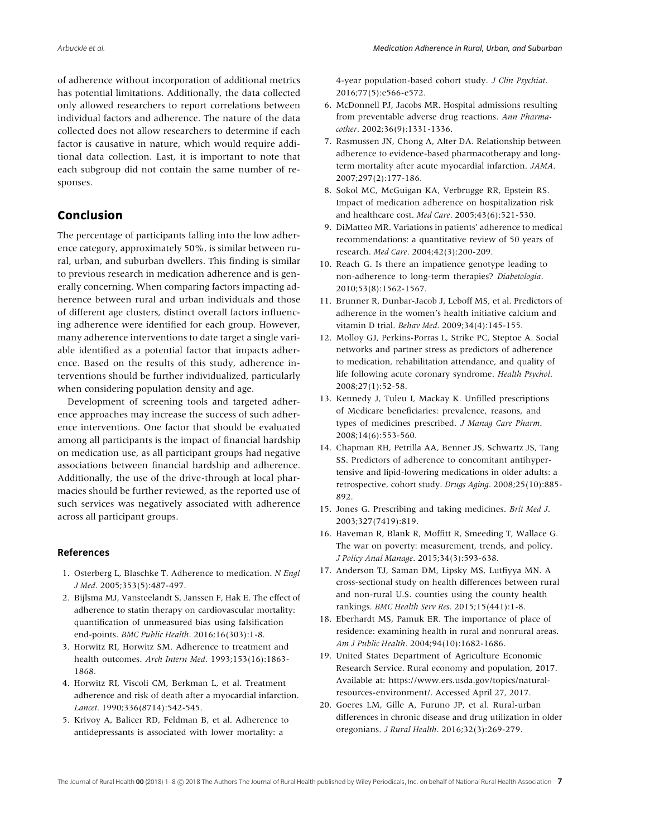of adherence without incorporation of additional metrics has potential limitations. Additionally, the data collected only allowed researchers to report correlations between individual factors and adherence. The nature of the data collected does not allow researchers to determine if each factor is causative in nature, which would require additional data collection. Last, it is important to note that each subgroup did not contain the same number of responses.

## **Conclusion**

The percentage of participants falling into the low adherence category, approximately 50%, is similar between rural, urban, and suburban dwellers. This finding is similar to previous research in medication adherence and is generally concerning. When comparing factors impacting adherence between rural and urban individuals and those of different age clusters, distinct overall factors influencing adherence were identified for each group. However, many adherence interventions to date target a single variable identified as a potential factor that impacts adherence. Based on the results of this study, adherence interventions should be further individualized, particularly when considering population density and age.

Development of screening tools and targeted adherence approaches may increase the success of such adherence interventions. One factor that should be evaluated among all participants is the impact of financial hardship on medication use, as all participant groups had negative associations between financial hardship and adherence. Additionally, the use of the drive-through at local pharmacies should be further reviewed, as the reported use of such services was negatively associated with adherence across all participant groups.

#### **References**

- 1. Osterberg L, Blaschke T. Adherence to medication. *N Engl J Med*. 2005;353(5):487-497.
- 2. Bijlsma MJ, Vansteelandt S, Janssen F, Hak E. The effect of adherence to statin therapy on cardiovascular mortality: quantification of unmeasured bias using falsification end-points. *BMC Public Health*. 2016;16(303):1-8.
- 3. Horwitz RI, Horwitz SM. Adherence to treatment and health outcomes. *Arch Intern Med*. 1993;153(16):1863- 1868.
- 4. Horwitz RI, Viscoli CM, Berkman L, et al. Treatment adherence and risk of death after a myocardial infarction. *Lancet*. 1990;336(8714):542-545.
- 5. Krivoy A, Balicer RD, Feldman B, et al. Adherence to antidepressants is associated with lower mortality: a

4-year population-based cohort study. *J Clin Psychiat*. 2016;77(5):e566-e572.

- 6. McDonnell PJ, Jacobs MR. Hospital admissions resulting from preventable adverse drug reactions. *Ann Pharmacother*. 2002;36(9):1331-1336.
- 7. Rasmussen JN, Chong A, Alter DA. Relationship between adherence to evidence-based pharmacotherapy and longterm mortality after acute myocardial infarction. *JAMA*. 2007;297(2):177-186.
- 8. Sokol MC, McGuigan KA, Verbrugge RR, Epstein RS. Impact of medication adherence on hospitalization risk and healthcare cost. *Med Care*. 2005;43(6):521-530.
- 9. DiMatteo MR. Variations in patients' adherence to medical recommendations: a quantitative review of 50 years of research. *Med Care*. 2004;42(3):200-209.
- 10. Reach G. Is there an impatience genotype leading to non-adherence to long-term therapies? *Diabetologia*. 2010;53(8):1562-1567.
- 11. Brunner R, Dunbar-Jacob J, Leboff MS, et al. Predictors of adherence in the women's health initiative calcium and vitamin D trial. *Behav Med*. 2009;34(4):145-155.
- 12. Molloy GJ, Perkins-Porras L, Strike PC, Steptoe A. Social networks and partner stress as predictors of adherence to medication, rehabilitation attendance, and quality of life following acute coronary syndrome. *Health Psychol*. 2008;27(1):52-58.
- 13. Kennedy J, Tuleu I, Mackay K. Unfilled prescriptions of Medicare beneficiaries: prevalence, reasons, and types of medicines prescribed. *J Manag Care Pharm*. 2008;14(6):553-560.
- 14. Chapman RH, Petrilla AA, Benner JS, Schwartz JS, Tang SS. Predictors of adherence to concomitant antihypertensive and lipid-lowering medications in older adults: a retrospective, cohort study. *Drugs Aging*. 2008;25(10):885- 892.
- 15. Jones G. Prescribing and taking medicines. *Brit Med J*. 2003;327(7419):819.
- 16. Haveman R, Blank R, Moffitt R, Smeeding T, Wallace G. The war on poverty: measurement, trends, and policy. *J Policy Anal Manage*. 2015;34(3):593-638.
- 17. Anderson TJ, Saman DM, Lipsky MS, Lutfiyya MN. A cross-sectional study on health differences between rural and non-rural U.S. counties using the county health rankings. *BMC Health Serv Res*. 2015;15(441):1-8.
- 18. Eberhardt MS, Pamuk ER. The importance of place of residence: examining health in rural and nonrural areas. *Am J Public Health*. 2004;94(10):1682-1686.
- 19. United States Department of Agriculture Economic Research Service. Rural economy and population, 2017. Available at: https://www.ers.usda.gov/topics/naturalresources-environment/. Accessed April 27, 2017.
- 20. Goeres LM, Gille A, Furuno JP, et al. Rural-urban differences in chronic disease and drug utilization in older oregonians. *J Rural Health*. 2016;32(3):269-279.